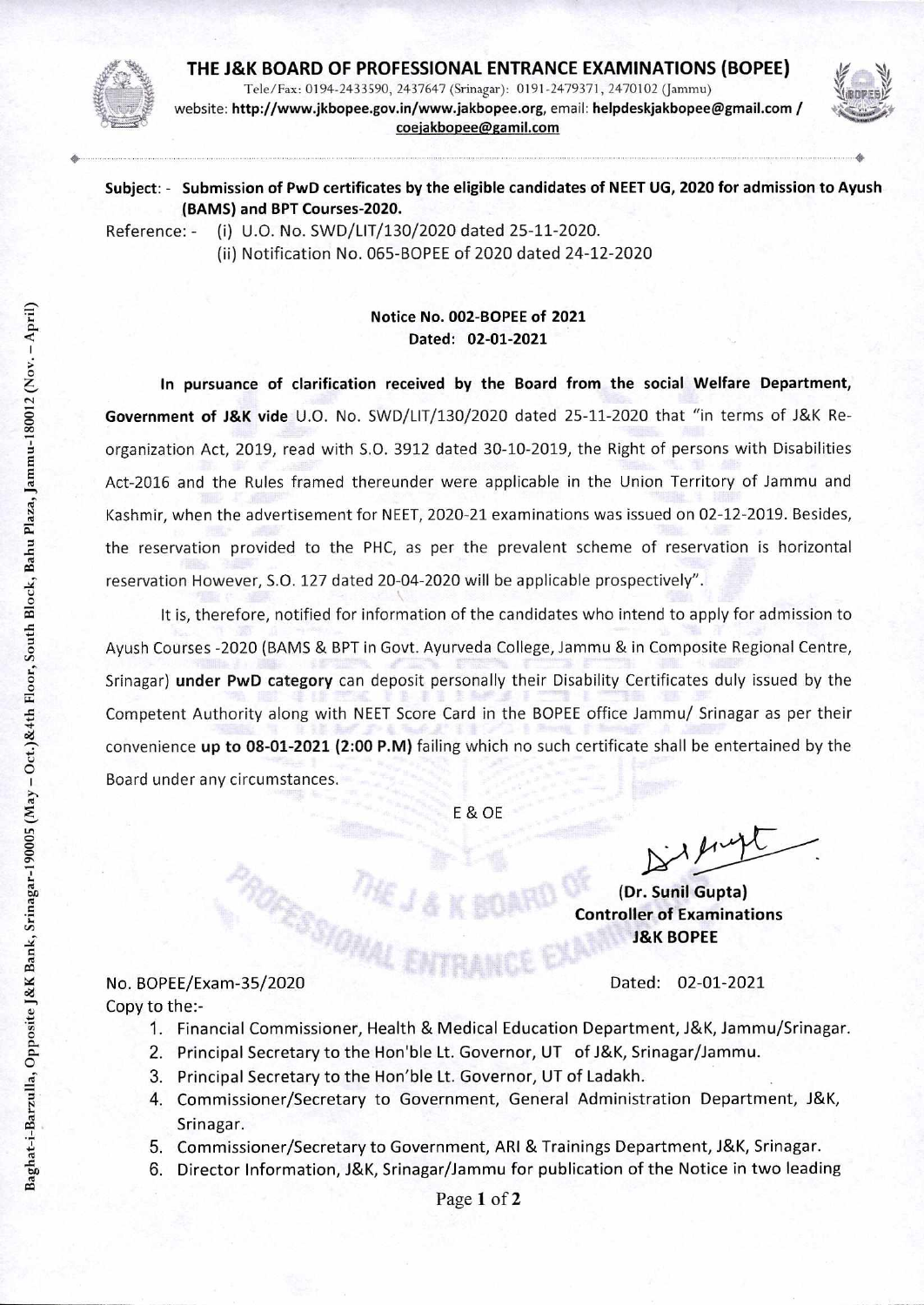

**THE J&K BOARD OF PROFESSIONAL ENTRANCE EXAMINATIONS (BOPEE)**  Tele/Fax: 0194-2433590, 2437647 (Srinagar): 0191-2479371, 2470102 (Jammu) website: **http://www.jkbopee.gov.in/www.jakbopee.org,** email: **helpdeskjakbopee@gmail.com / coejakbopee@gamil.com** 



4

**Subject: - Submission of PwD certificates by the eligible candidates of NEET UG, 2020 for admission to Ayush (BAMS) and BPT Courses-2020.** 

Reference: - (i) U.O. No. SWD/LIT/130/2020 dated 25-11-2020. (ii) Notification No. 065-BOPEE of 2020 dated 24-12-2020

## **Notice No. 002-BOPEE of 2021 Dated: 02-01-2021**

**In pursuance of clarification received by the Board from the social Welfare Department, Government of J&K vide** U.O. No. SWD/LIT/130/2020 dated 25-11-2020 that "in terms of J&K Reorganization Act, 2019, read with S.O. 3912 dated 30-10-2019, the Right of persons with Disabilities Act-2016 and the Rules framed thereunder were applicable in the Union Territory of Jammu and Kashmir, when the advertisement for NEET, 2020-21 examinations was issued on 02-12-2019. Besides, the reservation provided to the PHC, as per the prevalent scheme of reservation is horizontal reservation However, S.O. 127 dated 20-04-2020 will be applicable prospectively".

It is, therefore, notified for information of the candidates who intend to apply for admission to Ayush Courses -2020 (BAMS & BPT in Govt. Ayurveda College, Jammu & in Composite Regional Centre, Srinagar) **under PwD category** can deposit personally their Disability Certificates duly issued by the Competent Authority along with NEET Score Card in the BOPEE office Jammu/ Srinagar as per their convenience **up to 08-01-2021 (2:00 P.M)** failing which no such certificate shall be entertained by the Board under any circumstances.

E & OE

**(Dr. Sunil Gupta) Controller of Examinations J&K BOPEE** 

No. BOPEE/Exam-35/2020 Dated: 02-01-2021 Copy to the:-

- 1. Financial Commissioner, Health & Medical Education Department, J&K, Jammu/Srinagar.
- 2. Principal Secretary to the Hon'ble Lt. Governor, UT of J&K, Srinagar/Jammu.
- 3. Principal Secretary to the Hon'ble Lt. Governor, UT of Ladakh.
- 4. Commissioner/Secretary to Government, General Administration Department, J&K, Srinagar.
- 5. Commissioner/Secretary to Government, ARI & Trainings Department, J&K, Srinagar.
- 6. Director Information, J&K, Srinagar/Jammu for publication of the Notice in two leading